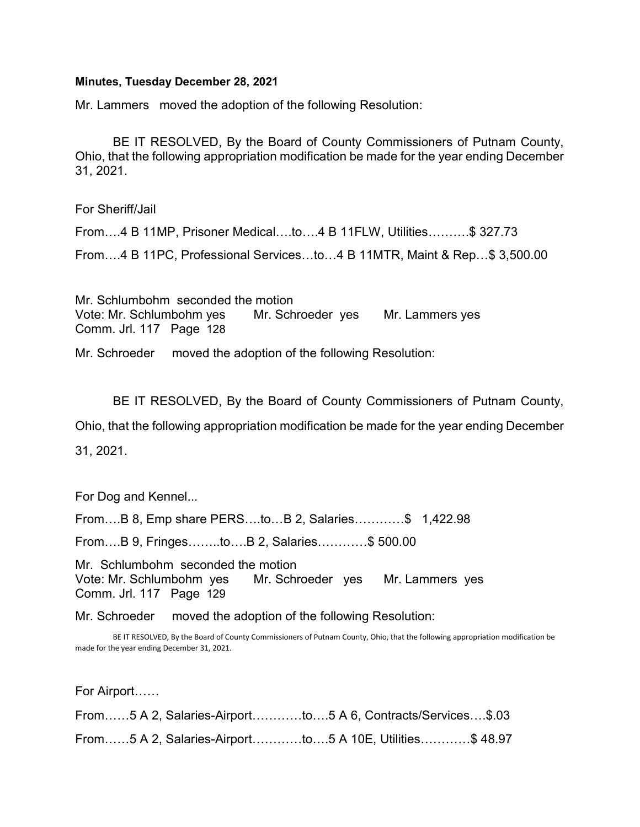## Minutes, Tuesday December 28, 2021

Mr. Lammers moved the adoption of the following Resolution:

 BE IT RESOLVED, By the Board of County Commissioners of Putnam County, Ohio, that the following appropriation modification be made for the year ending December 31, 2021.

For Sheriff/Jail From….4 B 11MP, Prisoner Medical….to….4 B 11FLW, Utilities……….\$ 327.73 From….4 B 11PC, Professional Services…to…4 B 11MTR, Maint & Rep…\$ 3,500.00

Mr. Schlumbohm seconded the motion Vote: Mr. Schlumbohm yes Mr. Schroeder yes Mr. Lammers yes Comm. Jrl. 117 Page 128

Mr. Schroeder moved the adoption of the following Resolution:

BE IT RESOLVED, By the Board of County Commissioners of Putnam County,

Ohio, that the following appropriation modification be made for the year ending December 31, 2021.

For Dog and Kennel...

From….B 8, Emp share PERS….to…B 2, Salaries…………\$ 1,422.98

From….B 9, Fringes……..to….B 2, Salaries…………\$ 500.00

Mr. Schlumbohm seconded the motion Vote: Mr. Schlumbohm yes Mr. Schroeder yes Mr. Lammers yes Comm. Jrl. 117 Page 129

Mr. Schroeder moved the adoption of the following Resolution:

 BE IT RESOLVED, By the Board of County Commissioners of Putnam County, Ohio, that the following appropriation modification be made for the year ending December 31, 2021.

For Airport……

From……5 A 2, Salaries-Airport…………to….5 A 6, Contracts/Services….\$.03 From……5 A 2, Salaries-Airport…………to….5 A 10E, Utilities…………\$ 48.97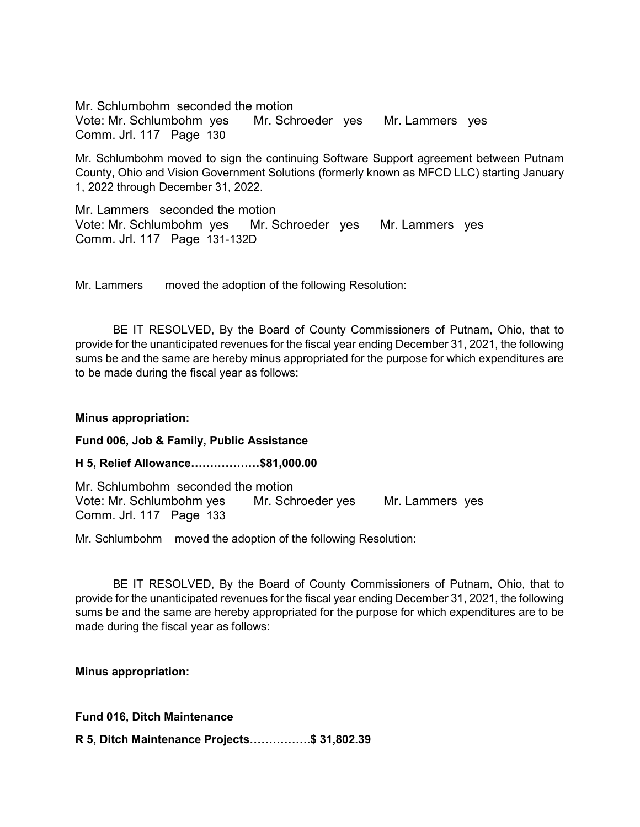Mr. Schlumbohm seconded the motion Vote: Mr. Schlumbohm yes Mr. Schroeder yes Mr. Lammers yes Comm. Jrl. 117 Page 130

Mr. Schlumbohm moved to sign the continuing Software Support agreement between Putnam County, Ohio and Vision Government Solutions (formerly known as MFCD LLC) starting January 1, 2022 through December 31, 2022.

Mr. Lammers seconded the motion Vote: Mr. Schlumbohm yes Mr. Schroeder yes Mr. Lammers yes Comm. Jrl. 117 Page 131-132D

Mr. Lammers moved the adoption of the following Resolution:

 BE IT RESOLVED, By the Board of County Commissioners of Putnam, Ohio, that to provide for the unanticipated revenues for the fiscal year ending December 31, 2021, the following sums be and the same are hereby minus appropriated for the purpose for which expenditures are to be made during the fiscal year as follows:

## Minus appropriation:

Fund 006, Job & Family, Public Assistance

H 5, Relief Allowance………………\$81,000.00

Mr. Schlumbohm seconded the motion Vote: Mr. Schlumbohm yes Mr. Schroeder yes Mr. Lammers yes Comm. Jrl. 117 Page 133

Mr. Schlumbohm moved the adoption of the following Resolution:

 BE IT RESOLVED, By the Board of County Commissioners of Putnam, Ohio, that to provide for the unanticipated revenues for the fiscal year ending December 31, 2021, the following sums be and the same are hereby appropriated for the purpose for which expenditures are to be made during the fiscal year as follows:

Minus appropriation:

Fund 016, Ditch Maintenance

R 5, Ditch Maintenance Projects…………….\$ 31,802.39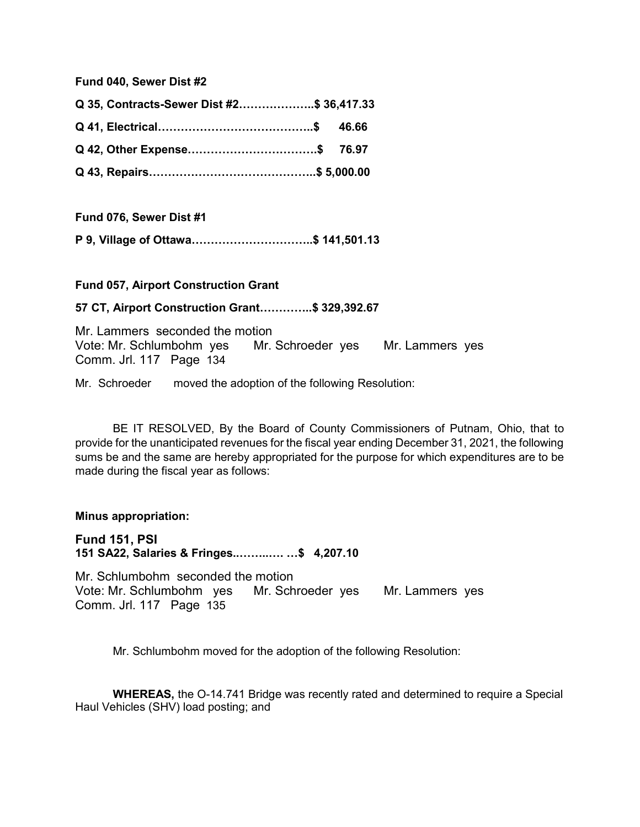Fund 040, Sewer Dist #2

| Q 35, Contracts-Sewer Dist #2\$ 36,417.33 |  |
|-------------------------------------------|--|
|                                           |  |
|                                           |  |
|                                           |  |

Fund 076, Sewer Dist #1

P 9, Village of Ottawa…………………………..\$ 141,501.13

Fund 057, Airport Construction Grant

57 CT, Airport Construction Grant…………..\$ 329,392.67

Mr. Lammers seconded the motion Vote: Mr. Schlumbohm yes Mr. Schroeder yes Mr. Lammers yes Comm. Jrl. 117 Page 134

Mr. Schroeder moved the adoption of the following Resolution:

 BE IT RESOLVED, By the Board of County Commissioners of Putnam, Ohio, that to provide for the unanticipated revenues for the fiscal year ending December 31, 2021, the following sums be and the same are hereby appropriated for the purpose for which expenditures are to be made during the fiscal year as follows:

Minus appropriation:

Fund 151, PSI 151 SA22, Salaries & Fringes..……..…. …\$ 4,207.10

Mr. Schlumbohm seconded the motion Vote: Mr. Schlumbohm yes Mr. Schroeder yes Mr. Lammers yes Comm. Jrl. 117 Page 135

Mr. Schlumbohm moved for the adoption of the following Resolution:

WHEREAS, the O-14.741 Bridge was recently rated and determined to require a Special Haul Vehicles (SHV) load posting; and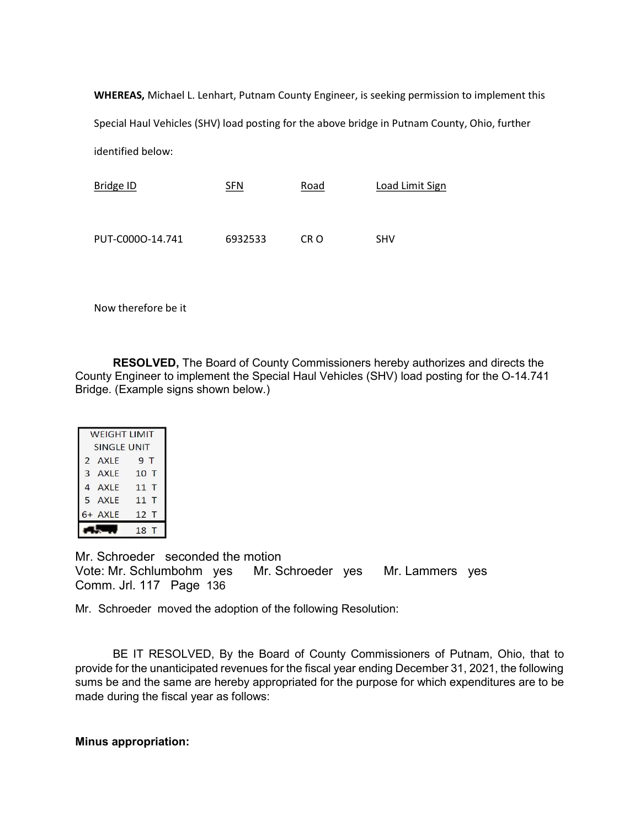WHEREAS, Michael L. Lenhart, Putnam County Engineer, is seeking permission to implement this Special Haul Vehicles (SHV) load posting for the above bridge in Putnam County, Ohio, further identified below:

| Bridge ID        | SFN     | Road | Load Limit Sign |
|------------------|---------|------|-----------------|
|                  |         |      |                 |
| PUT-C000O-14.741 | 6932533 | CR O | <b>SHV</b>      |

Now therefore be it

RESOLVED, The Board of County Commissioners hereby authorizes and directs the County Engineer to implement the Special Haul Vehicles (SHV) load posting for the O-14.741 Bridge. (Example signs shown below.)

| <b>WEIGHT LIMIT</b> |     |
|---------------------|-----|
| <b>SINGLE UNIT</b>  |     |
| 2 AXLE              | 9 T |
| 3 AXLE              | 10T |
| 4 AXLE              | 11T |
| 5 AXLE              | 11T |
| 6+ AXLE             | 12T |
|                     | 18  |
|                     |     |

Mr. Schroeder seconded the motion Vote: Mr. Schlumbohm yes Mr. Schroeder yes Mr. Lammers yes Comm. Jrl. 117 Page 136

Mr. Schroeder moved the adoption of the following Resolution:

 BE IT RESOLVED, By the Board of County Commissioners of Putnam, Ohio, that to provide for the unanticipated revenues for the fiscal year ending December 31, 2021, the following sums be and the same are hereby appropriated for the purpose for which expenditures are to be made during the fiscal year as follows:

Minus appropriation: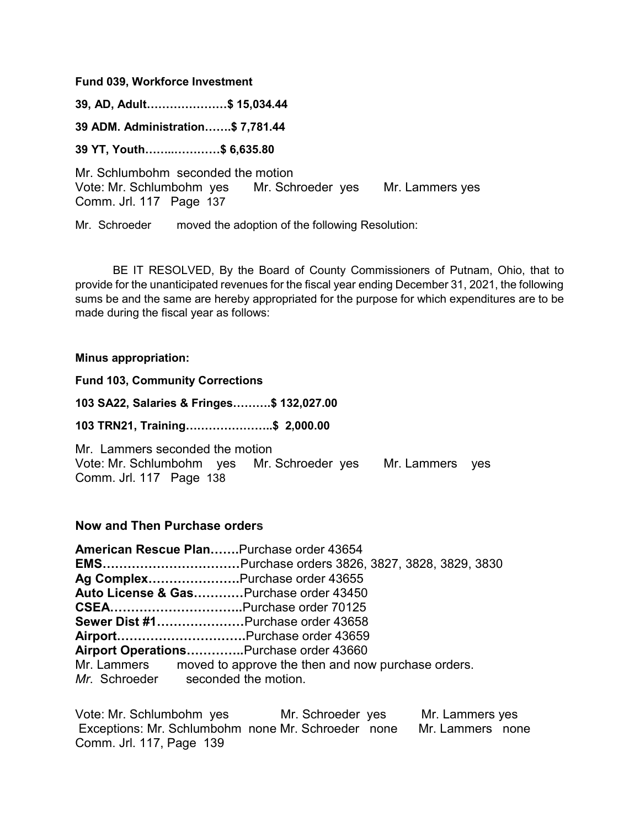Fund 039, Workforce Investment

39, AD, Adult…………………\$ 15,034.44

39 ADM. Administration…….\$ 7,781.44

39 YT, Youth……..…………\$ 6,635.80

Mr. Schlumbohm seconded the motion Vote: Mr. Schlumbohm yes Mr. Schroeder yes Mr. Lammers yes Comm. Jrl. 117 Page 137

Mr. Schroeder moved the adoption of the following Resolution:

 BE IT RESOLVED, By the Board of County Commissioners of Putnam, Ohio, that to provide for the unanticipated revenues for the fiscal year ending December 31, 2021, the following sums be and the same are hereby appropriated for the purpose for which expenditures are to be made during the fiscal year as follows:

#### Minus appropriation:

Fund 103, Community Corrections 103 SA22, Salaries & Fringes……….\$ 132,027.00 103 TRN21, Training…………………..\$ 2,000.00 Mr. Lammers seconded the motion Vote: Mr. Schlumbohm yes Mr. Schroeder yes Mr. Lammers yes Comm. Jrl. 117 Page 138

# Now and Then Purchase orders

| American Rescue PlanPurchase order 43654                       |
|----------------------------------------------------------------|
|                                                                |
| Ag ComplexPurchase order 43655                                 |
| Auto License & GasPurchase order 43450                         |
|                                                                |
| Sewer Dist #1Purchase order 43658                              |
|                                                                |
| Airport OperationsPurchase order 43660                         |
| Mr. Lammers moved to approve the then and now purchase orders. |
| Mr. Schroeder seconded the motion.                             |

Vote: Mr. Schlumbohm yes Mr. Schroeder yes Mr. Lammers yes Exceptions: Mr. Schlumbohm none Mr. Schroeder none Mr. Lammers none Comm. Jrl. 117, Page 139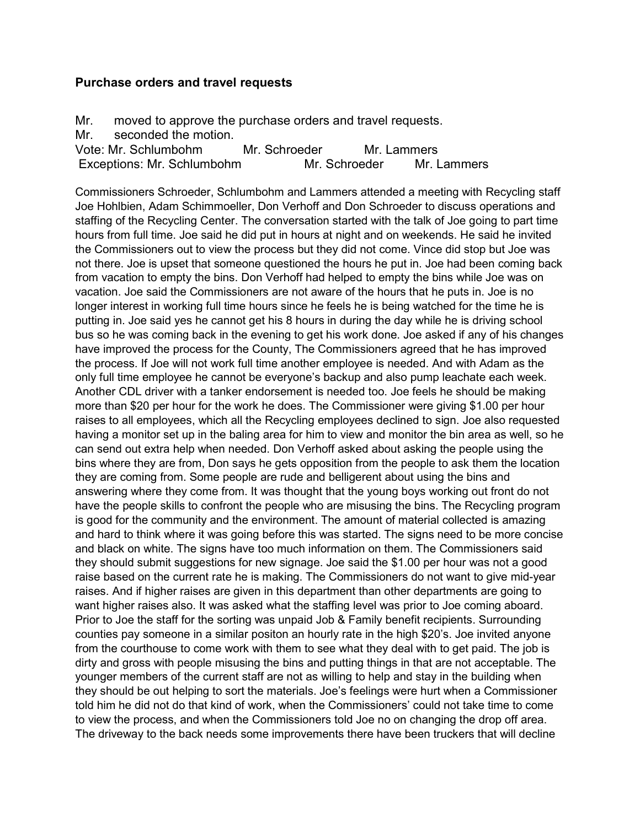# Purchase orders and travel requests

Mr. moved to approve the purchase orders and travel requests. Mr. seconded the motion. Vote: Mr. Schlumbohm Mr. Schroeder Mr. Lammers Exceptions: Mr. Schlumbohm Mr. Schroeder Mr. Lammers

Commissioners Schroeder, Schlumbohm and Lammers attended a meeting with Recycling staff Joe Hohlbien, Adam Schimmoeller, Don Verhoff and Don Schroeder to discuss operations and staffing of the Recycling Center. The conversation started with the talk of Joe going to part time hours from full time. Joe said he did put in hours at night and on weekends. He said he invited the Commissioners out to view the process but they did not come. Vince did stop but Joe was not there. Joe is upset that someone questioned the hours he put in. Joe had been coming back from vacation to empty the bins. Don Verhoff had helped to empty the bins while Joe was on vacation. Joe said the Commissioners are not aware of the hours that he puts in. Joe is no longer interest in working full time hours since he feels he is being watched for the time he is putting in. Joe said yes he cannot get his 8 hours in during the day while he is driving school bus so he was coming back in the evening to get his work done. Joe asked if any of his changes have improved the process for the County, The Commissioners agreed that he has improved the process. If Joe will not work full time another employee is needed. And with Adam as the only full time employee he cannot be everyone's backup and also pump leachate each week. Another CDL driver with a tanker endorsement is needed too. Joe feels he should be making more than \$20 per hour for the work he does. The Commissioner were giving \$1.00 per hour raises to all employees, which all the Recycling employees declined to sign. Joe also requested having a monitor set up in the baling area for him to view and monitor the bin area as well, so he can send out extra help when needed. Don Verhoff asked about asking the people using the bins where they are from, Don says he gets opposition from the people to ask them the location they are coming from. Some people are rude and belligerent about using the bins and answering where they come from. It was thought that the young boys working out front do not have the people skills to confront the people who are misusing the bins. The Recycling program is good for the community and the environment. The amount of material collected is amazing and hard to think where it was going before this was started. The signs need to be more concise and black on white. The signs have too much information on them. The Commissioners said they should submit suggestions for new signage. Joe said the \$1.00 per hour was not a good raise based on the current rate he is making. The Commissioners do not want to give mid-year raises. And if higher raises are given in this department than other departments are going to want higher raises also. It was asked what the staffing level was prior to Joe coming aboard. Prior to Joe the staff for the sorting was unpaid Job & Family benefit recipients. Surrounding counties pay someone in a similar positon an hourly rate in the high \$20's. Joe invited anyone from the courthouse to come work with them to see what they deal with to get paid. The job is dirty and gross with people misusing the bins and putting things in that are not acceptable. The younger members of the current staff are not as willing to help and stay in the building when they should be out helping to sort the materials. Joe's feelings were hurt when a Commissioner told him he did not do that kind of work, when the Commissioners' could not take time to come to view the process, and when the Commissioners told Joe no on changing the drop off area. The driveway to the back needs some improvements there have been truckers that will decline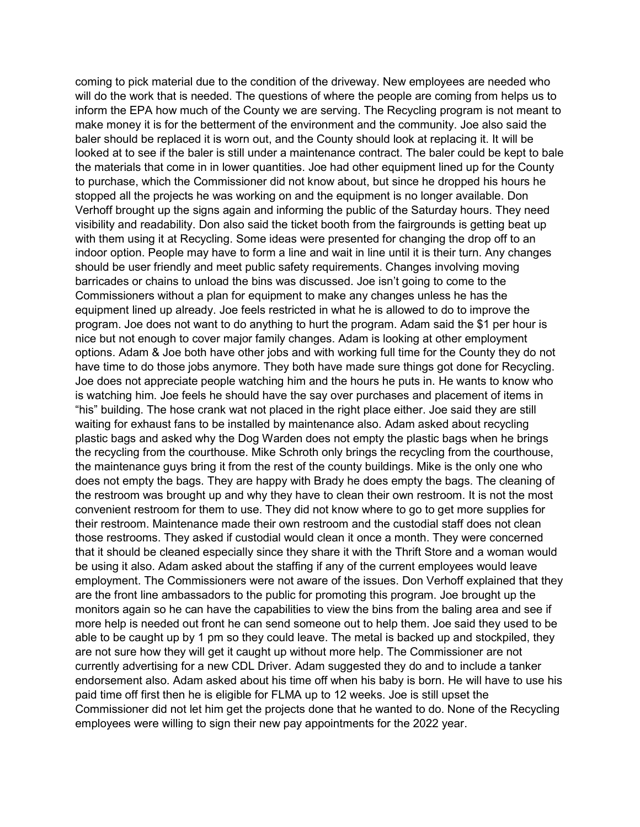coming to pick material due to the condition of the driveway. New employees are needed who will do the work that is needed. The questions of where the people are coming from helps us to inform the EPA how much of the County we are serving. The Recycling program is not meant to make money it is for the betterment of the environment and the community. Joe also said the baler should be replaced it is worn out, and the County should look at replacing it. It will be looked at to see if the baler is still under a maintenance contract. The baler could be kept to bale the materials that come in in lower quantities. Joe had other equipment lined up for the County to purchase, which the Commissioner did not know about, but since he dropped his hours he stopped all the projects he was working on and the equipment is no longer available. Don Verhoff brought up the signs again and informing the public of the Saturday hours. They need visibility and readability. Don also said the ticket booth from the fairgrounds is getting beat up with them using it at Recycling. Some ideas were presented for changing the drop off to an indoor option. People may have to form a line and wait in line until it is their turn. Any changes should be user friendly and meet public safety requirements. Changes involving moving barricades or chains to unload the bins was discussed. Joe isn't going to come to the Commissioners without a plan for equipment to make any changes unless he has the equipment lined up already. Joe feels restricted in what he is allowed to do to improve the program. Joe does not want to do anything to hurt the program. Adam said the \$1 per hour is nice but not enough to cover major family changes. Adam is looking at other employment options. Adam & Joe both have other jobs and with working full time for the County they do not have time to do those jobs anymore. They both have made sure things got done for Recycling. Joe does not appreciate people watching him and the hours he puts in. He wants to know who is watching him. Joe feels he should have the say over purchases and placement of items in "his" building. The hose crank wat not placed in the right place either. Joe said they are still waiting for exhaust fans to be installed by maintenance also. Adam asked about recycling plastic bags and asked why the Dog Warden does not empty the plastic bags when he brings the recycling from the courthouse. Mike Schroth only brings the recycling from the courthouse, the maintenance guys bring it from the rest of the county buildings. Mike is the only one who does not empty the bags. They are happy with Brady he does empty the bags. The cleaning of the restroom was brought up and why they have to clean their own restroom. It is not the most convenient restroom for them to use. They did not know where to go to get more supplies for their restroom. Maintenance made their own restroom and the custodial staff does not clean those restrooms. They asked if custodial would clean it once a month. They were concerned that it should be cleaned especially since they share it with the Thrift Store and a woman would be using it also. Adam asked about the staffing if any of the current employees would leave employment. The Commissioners were not aware of the issues. Don Verhoff explained that they are the front line ambassadors to the public for promoting this program. Joe brought up the monitors again so he can have the capabilities to view the bins from the baling area and see if more help is needed out front he can send someone out to help them. Joe said they used to be able to be caught up by 1 pm so they could leave. The metal is backed up and stockpiled, they are not sure how they will get it caught up without more help. The Commissioner are not currently advertising for a new CDL Driver. Adam suggested they do and to include a tanker endorsement also. Adam asked about his time off when his baby is born. He will have to use his paid time off first then he is eligible for FLMA up to 12 weeks. Joe is still upset the Commissioner did not let him get the projects done that he wanted to do. None of the Recycling employees were willing to sign their new pay appointments for the 2022 year.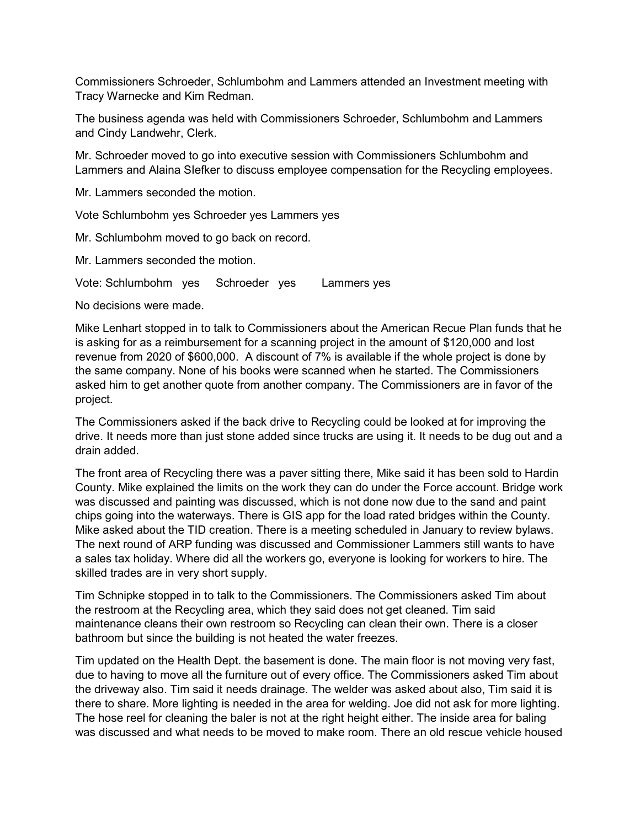Commissioners Schroeder, Schlumbohm and Lammers attended an Investment meeting with Tracy Warnecke and Kim Redman.

The business agenda was held with Commissioners Schroeder, Schlumbohm and Lammers and Cindy Landwehr, Clerk.

Mr. Schroeder moved to go into executive session with Commissioners Schlumbohm and Lammers and Alaina SIefker to discuss employee compensation for the Recycling employees.

Mr. Lammers seconded the motion.

Vote Schlumbohm yes Schroeder yes Lammers yes

Mr. Schlumbohm moved to go back on record.

Mr. Lammers seconded the motion.

Vote: Schlumbohm yes Schroeder yes Lammers yes

No decisions were made.

Mike Lenhart stopped in to talk to Commissioners about the American Recue Plan funds that he is asking for as a reimbursement for a scanning project in the amount of \$120,000 and lost revenue from 2020 of \$600,000. A discount of 7% is available if the whole project is done by the same company. None of his books were scanned when he started. The Commissioners asked him to get another quote from another company. The Commissioners are in favor of the project.

The Commissioners asked if the back drive to Recycling could be looked at for improving the drive. It needs more than just stone added since trucks are using it. It needs to be dug out and a drain added.

The front area of Recycling there was a paver sitting there, Mike said it has been sold to Hardin County. Mike explained the limits on the work they can do under the Force account. Bridge work was discussed and painting was discussed, which is not done now due to the sand and paint chips going into the waterways. There is GIS app for the load rated bridges within the County. Mike asked about the TID creation. There is a meeting scheduled in January to review bylaws. The next round of ARP funding was discussed and Commissioner Lammers still wants to have a sales tax holiday. Where did all the workers go, everyone is looking for workers to hire. The skilled trades are in very short supply.

Tim Schnipke stopped in to talk to the Commissioners. The Commissioners asked Tim about the restroom at the Recycling area, which they said does not get cleaned. Tim said maintenance cleans their own restroom so Recycling can clean their own. There is a closer bathroom but since the building is not heated the water freezes.

Tim updated on the Health Dept. the basement is done. The main floor is not moving very fast, due to having to move all the furniture out of every office. The Commissioners asked Tim about the driveway also. Tim said it needs drainage. The welder was asked about also, Tim said it is there to share. More lighting is needed in the area for welding. Joe did not ask for more lighting. The hose reel for cleaning the baler is not at the right height either. The inside area for baling was discussed and what needs to be moved to make room. There an old rescue vehicle housed